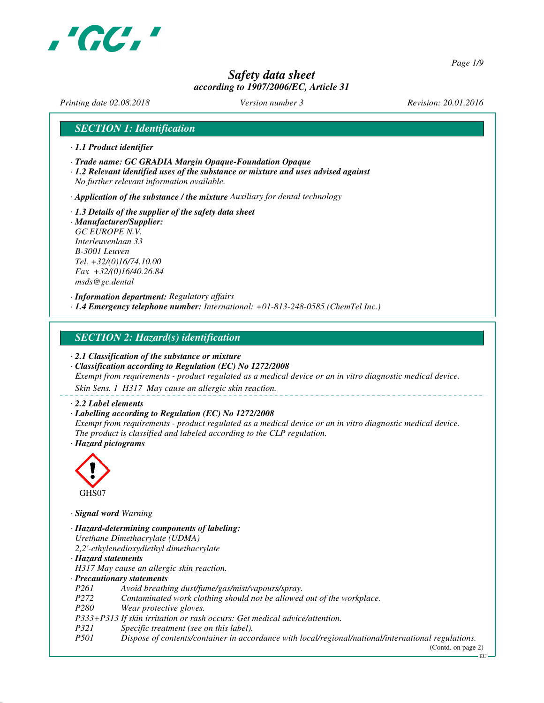

*Page 1/9*

# *Safety data sheet according to 1907/2006/EC, Article 31*

*Printing date 02.08.2018 Version number 3 Revision: 20.01.2016*

### *SECTION 1: Identification*

- *· 1.1 Product identifier*
- *· Trade name: GC GRADIA Margin Opaque-Foundation Opaque*
- *· 1.2 Relevant identified uses of the substance or mixture and uses advised against No further relevant information available.*

*· Application of the substance / the mixture Auxiliary for dental technology*

*· 1.3 Details of the supplier of the safety data sheet · Manufacturer/Supplier: GC EUROPE N.V. Interleuvenlaan 33 B-3001 Leuven Tel. +32/(0)16/74.10.00 Fax +32/(0)16/40.26.84*

*msds@gc.dental*

*· Information department: Regulatory affairs · 1.4 Emergency telephone number: International: +01-813-248-0585 (ChemTel Inc.)*

### *SECTION 2: Hazard(s) identification*

*· 2.1 Classification of the substance or mixture*

*· Classification according to Regulation (EC) No 1272/2008*

*Exempt from requirements - product regulated as a medical device or an in vitro diagnostic medical device.*

*Skin Sens. 1 H317 May cause an allergic skin reaction.*

#### *· 2.2 Label elements*

#### *· Labelling according to Regulation (EC) No 1272/2008*

*Exempt from requirements - product regulated as a medical device or an in vitro diagnostic medical device. The product is classified and labeled according to the CLP regulation. · Hazard pictograms*



*· Signal word Warning*

- *· Hazard-determining components of labeling: Urethane Dimethacrylate (UDMA) 2,2'-ethylenedioxydiethyl dimethacrylate*
- *· Hazard statements*
- *H317 May cause an allergic skin reaction.*
- *· Precautionary statements*
- *P261 Avoid breathing dust/fume/gas/mist/vapours/spray.*
- *P272 Contaminated work clothing should not be allowed out of the workplace.*
- *P280 Wear protective gloves.*
- *P333+P313 If skin irritation or rash occurs: Get medical advice/attention.*
- *P321 Specific treatment (see on this label).*
- *P501 Dispose of contents/container in accordance with local/regional/national/international regulations.*

(Contd. on page 2) EU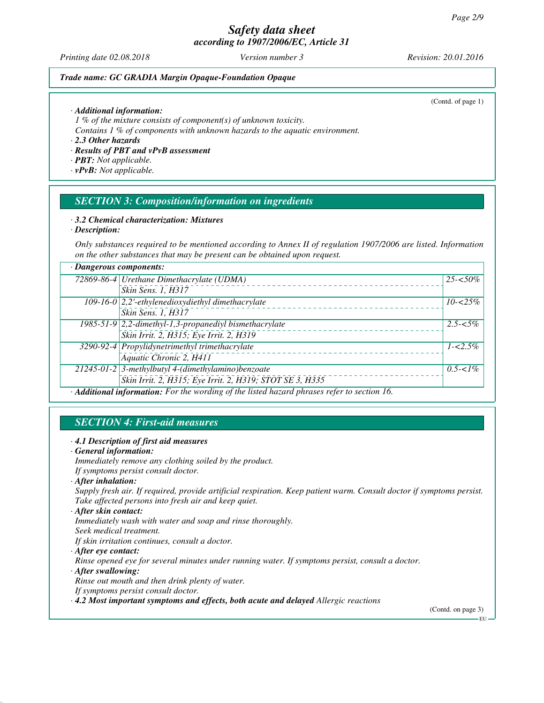*Printing date 02.08.2018 Version number 3 Revision: 20.01.2016*

(Contd. of page 1)

### *Trade name: GC GRADIA Margin Opaque-Foundation Opaque*

*· Additional information:*

*1 % of the mixture consists of component(s) of unknown toxicity.*

*Contains 1 % of components with unknown hazards to the aquatic environment.*

*· 2.3 Other hazards*

*· Results of PBT and vPvB assessment*

*· PBT: Not applicable.*

*· vPvB: Not applicable.*

### *SECTION 3: Composition/information on ingredients*

#### *· 3.2 Chemical characterization: Mixtures*

*· Description:*

*Only substances required to be mentioned according to Annex II of regulation 1907/2006 are listed. Information on the other substances that may be present can be obtained upon request.*

| · Dangerous components:                                                                   |                                                          |             |
|-------------------------------------------------------------------------------------------|----------------------------------------------------------|-------------|
|                                                                                           | 72869-86-4 Urethane Dimethacrylate (UDMA)                | $25 - 50\%$ |
|                                                                                           | Skin Sens. 1, H317                                       |             |
|                                                                                           | 109-16-0 2,2'-ethylenedioxydiethyl dimethacrylate        | $10 - 25\%$ |
|                                                                                           | Skin Sens. 1, H317                                       |             |
|                                                                                           | $1985-51-9$ 2,2-dimethyl-1,3-propanediyl bismethacrylate | $2.5 - 5\%$ |
|                                                                                           | Skin Irrit. 2, H315; Eye Irrit. 2, H319                  |             |
|                                                                                           | 3290-92-4 Propylidynetrimethyl trimethacrylate           | $1 - 2.5\%$ |
|                                                                                           | Aquatic Chronic 2, H411                                  |             |
|                                                                                           | 21245-01-2 3-methylbutyl 4-(dimethylamino)benzoate       | $0.5 - 1\%$ |
|                                                                                           | Skin Irrit. 2, H315; Eye Irrit. 2, H319; STOT SE 3, H335 |             |
| Additional information: For the wording of the listed hazard phrases refer to section 16. |                                                          |             |

# *SECTION 4: First-aid measures*

### *· 4.1 Description of first aid measures*

- *· General information:*
- *Immediately remove any clothing soiled by the product.*
- *If symptoms persist consult doctor.*
- *· After inhalation:*

*Supply fresh air. If required, provide artificial respiration. Keep patient warm. Consult doctor if symptoms persist. Take affected persons into fresh air and keep quiet.*

- *· After skin contact:*
- *Immediately wash with water and soap and rinse thoroughly.*
- *Seek medical treatment.*
- *If skin irritation continues, consult a doctor.*
- *· After eye contact:*

*Rinse opened eye for several minutes under running water. If symptoms persist, consult a doctor.*

*· After swallowing:*

*Rinse out mouth and then drink plenty of water.*

*If symptoms persist consult doctor.*

*· 4.2 Most important symptoms and effects, both acute and delayed Allergic reactions*

(Contd. on page 3)

EU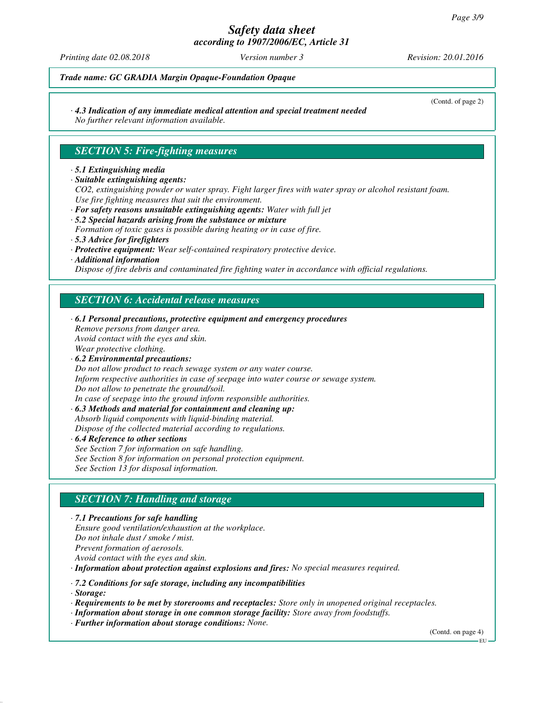# *Safety data sheet*

*according to 1907/2006/EC, Article 31*

*Printing date 02.08.2018 Version number 3 Revision: 20.01.2016*

(Contd. of page 2)

### *Trade name: GC GRADIA Margin Opaque-Foundation Opaque*

### *· 4.3 Indication of any immediate medical attention and special treatment needed*

*No further relevant information available.*

### *SECTION 5: Fire-fighting measures*

#### *· 5.1 Extinguishing media*

*· Suitable extinguishing agents:*

*CO2, extinguishing powder or water spray. Fight larger fires with water spray or alcohol resistant foam. Use fire fighting measures that suit the environment.*

- *· For safety reasons unsuitable extinguishing agents: Water with full jet · 5.2 Special hazards arising from the substance or mixture*
- *Formation of toxic gases is possible during heating or in case of fire.*
- *· 5.3 Advice for firefighters*
- *· Protective equipment: Wear self-contained respiratory protective device.*
- *· Additional information*

*Dispose of fire debris and contaminated fire fighting water in accordance with official regulations.*

### *SECTION 6: Accidental release measures*

*· 6.1 Personal precautions, protective equipment and emergency procedures Remove persons from danger area. Avoid contact with the eyes and skin. Wear protective clothing. · 6.2 Environmental precautions: Do not allow product to reach sewage system or any water course. Inform respective authorities in case of seepage into water course or sewage system. Do not allow to penetrate the ground/soil. In case of seepage into the ground inform responsible authorities. · 6.3 Methods and material for containment and cleaning up: Absorb liquid components with liquid-binding material. Dispose of the collected material according to regulations. · 6.4 Reference to other sections See Section 7 for information on safe handling. See Section 8 for information on personal protection equipment.*

*See Section 13 for disposal information.*

# *SECTION 7: Handling and storage*

*· 7.1 Precautions for safe handling Ensure good ventilation/exhaustion at the workplace. Do not inhale dust / smoke / mist. Prevent formation of aerosols. Avoid contact with the eyes and skin.*

*· Information about protection against explosions and fires: No special measures required.*

*· 7.2 Conditions for safe storage, including any incompatibilities*

*· Storage:*

*· Requirements to be met by storerooms and receptacles: Store only in unopened original receptacles.*

*· Information about storage in one common storage facility: Store away from foodstuffs. · Further information about storage conditions: None.*

(Contd. on page 4)

EU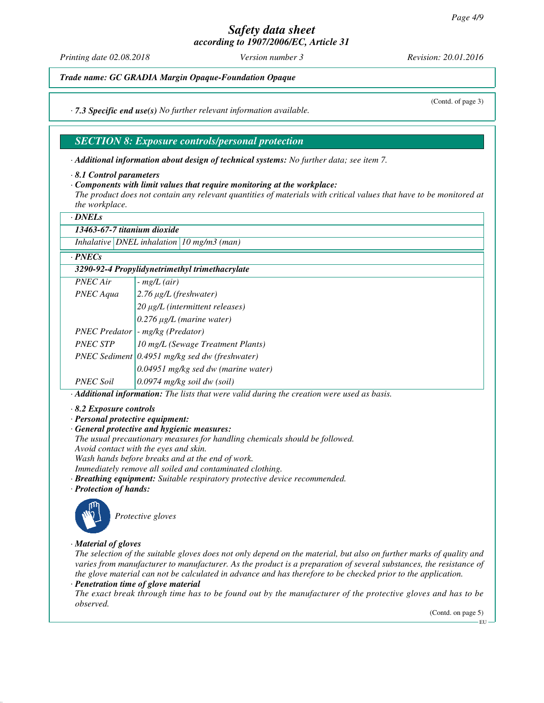*Printing date 02.08.2018 Version number 3 Revision: 20.01.2016*

(Contd. of page 3)

*Trade name: GC GRADIA Margin Opaque-Foundation Opaque*

*· 7.3 Specific end use(s) No further relevant information available.*

### *SECTION 8: Exposure controls/personal protection*

*· Additional information about design of technical systems: No further data; see item 7.*

*· Components with limit values that require monitoring at the workplace:*

*The product does not contain any relevant quantities of materials with critical values that have to be monitored at the workplace.*

*· DNELs*

*13463-67-7 titanium dioxide*

*Inhalative DNEL inhalation 10 mg/m3 (man)*

#### *· PNECs*

| 3290-92-4 Propylidynetrimethyl trimethacrylate |                                                  |  |
|------------------------------------------------|--------------------------------------------------|--|
| <b>PNEC</b> Air                                | $-$ mg/L (air)                                   |  |
| PNEC Aqua                                      | $2.76 \mu g/L$ (freshwater)                      |  |
|                                                | $20 \mu g/L$ (intermittent releases)             |  |
|                                                | $0.276 \mu g/L$ (marine water)                   |  |
| <b>PNEC Predator</b>                           | - mg/kg (Predator)                               |  |
| <b>PNEC STP</b>                                | 10 mg/L (Sewage Treatment Plants)                |  |
|                                                | PNEC Sediment $0.4951$ mg/kg sed dw (freshwater) |  |
|                                                | 0.04951 mg/kg sed dw (marine water)              |  |
| <b>PNEC Soil</b>                               | $0.0974$ mg/kg soil dw (soil)                    |  |

*· Additional information: The lists that were valid during the creation were used as basis.*

*· 8.2 Exposure controls*

*· Personal protective equipment:*

*· General protective and hygienic measures:*

*The usual precautionary measures for handling chemicals should be followed.*

*Avoid contact with the eyes and skin.*

*Wash hands before breaks and at the end of work.*

*Immediately remove all soiled and contaminated clothing.*

*· Breathing equipment: Suitable respiratory protective device recommended.*

*· Protection of hands:*



*Protective gloves*

*· Material of gloves*

*The selection of the suitable gloves does not only depend on the material, but also on further marks of quality and varies from manufacturer to manufacturer. As the product is a preparation of several substances, the resistance of the glove material can not be calculated in advance and has therefore to be checked prior to the application.*

*· Penetration time of glove material*

*The exact break through time has to be found out by the manufacturer of the protective gloves and has to be observed.*

(Contd. on page 5)

*<sup>·</sup> 8.1 Control parameters*

EU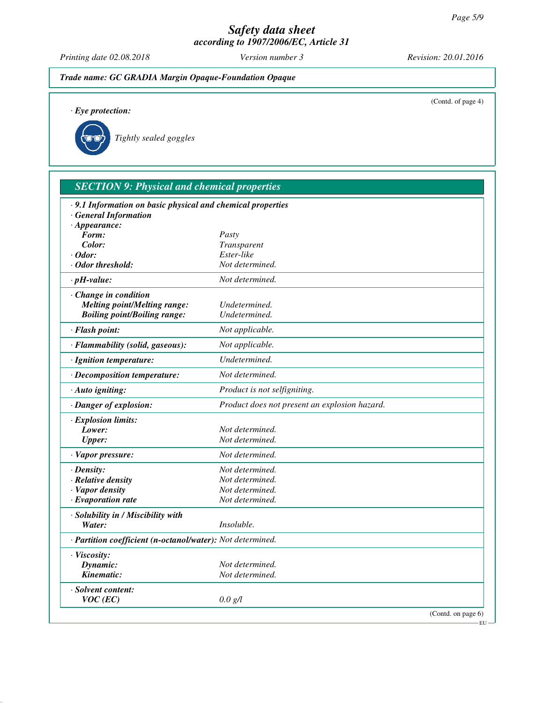*Printing date 02.08.2018 Version number 3 Revision: 20.01.2016*

*· Eye protection:*



(Contd. of page 4)

EU

|  | Tightly sealed goggles |
|--|------------------------|
|  |                        |

| · 9.1 Information on basic physical and chemical properties |                                               |  |
|-------------------------------------------------------------|-----------------------------------------------|--|
| <b>General Information</b>                                  |                                               |  |
| $\cdot$ Appearance:                                         |                                               |  |
| Form:                                                       | Pasty                                         |  |
| Color:                                                      | Transparent                                   |  |
| · Odor:                                                     | Ester-like                                    |  |
| · Odor threshold:                                           | Not determined.                               |  |
| $\cdot$ pH-value:                                           | Not determined.                               |  |
| Change in condition                                         |                                               |  |
| <b>Melting point/Melting range:</b>                         | Undetermined.                                 |  |
| <b>Boiling point/Boiling range:</b>                         | Undetermined.                                 |  |
| · Flash point:                                              | Not applicable.                               |  |
| · Flammability (solid, gaseous):                            | Not applicable.                               |  |
| · Ignition temperature:                                     | Undetermined.                                 |  |
| · Decomposition temperature:                                | Not determined.                               |  |
| · Auto igniting:                                            | Product is not selfigniting.                  |  |
| · Danger of explosion:                                      | Product does not present an explosion hazard. |  |
| · Explosion limits:                                         |                                               |  |
| Lower:                                                      | Not determined.                               |  |
| <b>Upper:</b>                                               | Not determined.                               |  |
| · Vapor pressure:                                           | Not determined.                               |  |
| · Density:                                                  | Not determined.                               |  |
| · Relative density                                          | Not determined.                               |  |
| · Vapor density                                             | Not determined.                               |  |
| $\cdot$ Evaporation rate                                    | Not determined.                               |  |
| · Solubility in / Miscibility with                          |                                               |  |
| Water:                                                      | Insoluble.                                    |  |
| · Partition coefficient (n-octanol/water): Not determined.  |                                               |  |
| · Viscosity:                                                |                                               |  |
| Dynamic:                                                    | Not determined.                               |  |
| Kinematic:                                                  | Not determined.                               |  |
| · Solvent content:                                          |                                               |  |
| $VOC$ (EC)                                                  | 0.0 g/l                                       |  |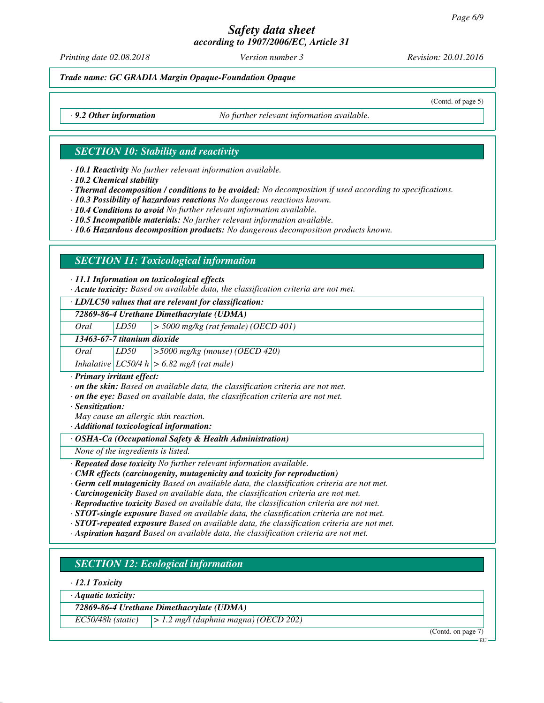*Printing date 02.08.2018 Version number 3 Revision: 20.01.2016*

*Trade name: GC GRADIA Margin Opaque-Foundation Opaque*

(Contd. of page 5)

*· 9.2 Other information No further relevant information available.*

### *SECTION 10: Stability and reactivity*

*· 10.1 Reactivity No further relevant information available.*

*· 10.2 Chemical stability*

*· Thermal decomposition / conditions to be avoided: No decomposition if used according to specifications.*

*· 10.3 Possibility of hazardous reactions No dangerous reactions known.*

*· 10.4 Conditions to avoid No further relevant information available.*

*· 10.5 Incompatible materials: No further relevant information available.*

*· 10.6 Hazardous decomposition products: No dangerous decomposition products known.*

# *SECTION 11: Toxicological information*

*· 11.1 Information on toxicological effects*

*· Acute toxicity: Based on available data, the classification criteria are not met.*

*· LD/LC50 values that are relevant for classification:*

*72869-86-4 Urethane Dimethacrylate (UDMA)*

*Oral LD50 > 5000 mg/kg (rat female) (OECD 401)*

*13463-67-7 titanium dioxide*

*Oral LD50 >5000 mg/kg (mouse) (OECD 420)*

*Inhalative LC50/4 h > 6.82 mg/l (rat male)*

*· Primary irritant effect:*

*· on the skin: Based on available data, the classification criteria are not met.*

*· on the eye: Based on available data, the classification criteria are not met.*

*· Sensitization:*

*May cause an allergic skin reaction.*

*· Additional toxicological information:*

*· OSHA-Ca (Occupational Safety & Health Administration)*

*None of the ingredients is listed.*

*· Repeated dose toxicity No further relevant information available.*

*· CMR effects (carcinogenity, mutagenicity and toxicity for reproduction)*

- *· Germ cell mutagenicity Based on available data, the classification criteria are not met.*
- *· Carcinogenicity Based on available data, the classification criteria are not met.*

*· Reproductive toxicity Based on available data, the classification criteria are not met.*

*· STOT-single exposure Based on available data, the classification criteria are not met.*

*· STOT-repeated exposure Based on available data, the classification criteria are not met.*

*· Aspiration hazard Based on available data, the classification criteria are not met.*

# *SECTION 12: Ecological information*

*· 12.1 Toxicity*

*· Aquatic toxicity:*

*72869-86-4 Urethane Dimethacrylate (UDMA)*

*EC50/48h (static) > 1.2 mg/l (daphnia magna) (OECD 202)*

(Contd. on page 7)

EU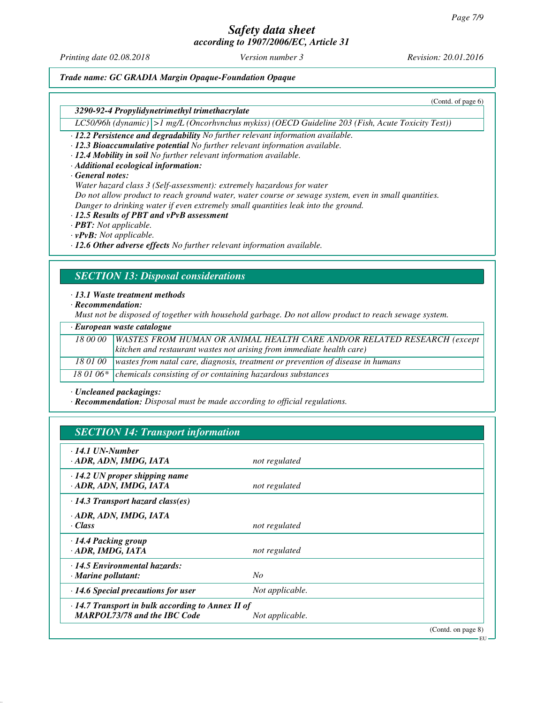*Printing date 02.08.2018 Version number 3 Revision: 20.01.2016*

(Contd. of page 6)

EU

### *Trade name: GC GRADIA Margin Opaque-Foundation Opaque*

*3290-92-4 Propylidynetrimethyl trimethacrylate*

*LC50/96h (dynamic) >1 mg/L (Oncorhvnchus mykiss) (OECD Guideline 203 (Fish, Acute Toxicity Test))*

*· 12.2 Persistence and degradability No further relevant information available.*

*· 12.3 Bioaccumulative potential No further relevant information available.*

- *· 12.4 Mobility in soil No further relevant information available.*
- *· Additional ecological information:*

#### *· General notes:*

*Water hazard class 3 (Self-assessment): extremely hazardous for water Do not allow product to reach ground water, water course or sewage system, even in small quantities.*

*Danger to drinking water if even extremely small quantities leak into the ground.*

#### *· 12.5 Results of PBT and vPvB assessment*

*· PBT: Not applicable.*

*· vPvB: Not applicable.*

*· 12.6 Other adverse effects No further relevant information available.*

### *SECTION 13: Disposal considerations*

#### *· 13.1 Waste treatment methods*

*· Recommendation:*

*Must not be disposed of together with household garbage. Do not allow product to reach sewage system.*

|          | · European waste catalogue                                                      |
|----------|---------------------------------------------------------------------------------|
| 18 00 00 | WASTES FROM HUMAN OR ANIMAL HEALTH CARE AND/OR RELATED RESEARCH (except         |
|          | kitchen and restaurant wastes not arising from immediate health care)           |
| 18 01 00 | wastes from natal care, diagnosis, treatment or prevention of disease in humans |
|          | 18 01 06 $*$ chemicals consisting of or containing hazardous substances         |

*· Uncleaned packagings:*

*· Recommendation: Disposal must be made according to official regulations.*

# *SECTION 14: Transport information*

| $\cdot$ 14.1 UN-Number<br>ADR, ADN, IMDG, IATA                                                 | not regulated   |                    |
|------------------------------------------------------------------------------------------------|-----------------|--------------------|
| $\cdot$ 14.2 UN proper shipping name<br>· ADR, ADN, IMDG, IATA                                 | not regulated   |                    |
| $\cdot$ 14.3 Transport hazard class(es)                                                        |                 |                    |
| · ADR, ADN, IMDG, IATA<br>· Class                                                              | not regulated   |                    |
| · 14.4 Packing group<br>· ADR, IMDG, IATA                                                      | not regulated   |                    |
| · 14.5 Environmental hazards:<br>$\cdot$ Marine pollutant:                                     | N <sub>O</sub>  |                    |
| $\cdot$ 14.6 Special precautions for user                                                      | Not applicable. |                    |
| $\cdot$ 14.7 Transport in bulk according to Annex II of<br><b>MARPOL73/78 and the IBC Code</b> | Not applicable. |                    |
|                                                                                                |                 | (Contd. on page 8) |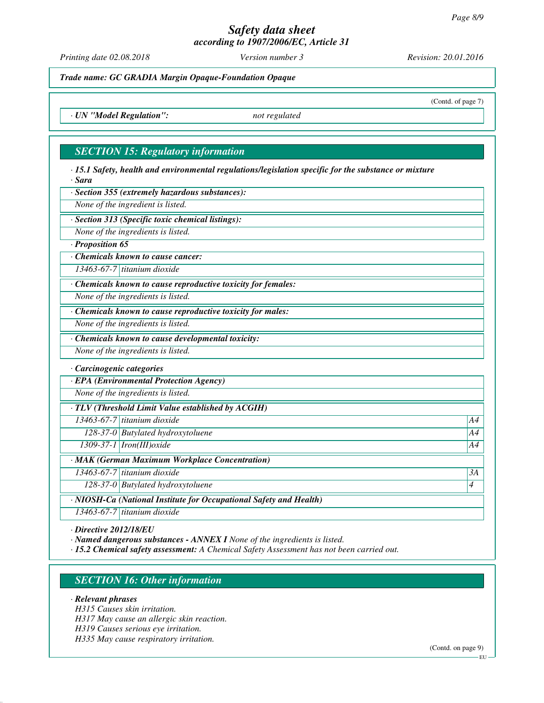*Printing date 02.08.2018 Version number 3 Revision: 20.01.2016*

(Contd. of page 7)

*Trade name: GC GRADIA Margin Opaque-Foundation Opaque*

*· UN "Model Regulation": not regulated*

### *SECTION 15: Regulatory information*

*· 15.1 Safety, health and environmental regulations/legislation specific for the substance or mixture · Sara*

*· Section 355 (extremely hazardous substances):*

*None of the ingredient is listed.*

*· Section 313 (Specific toxic chemical listings):*

*None of the ingredients is listed.*

*· Proposition 65*

*· Chemicals known to cause cancer:*

*13463-67-7 titanium dioxide*

*· Chemicals known to cause reproductive toxicity for females:*

*None of the ingredients is listed.*

*· Chemicals known to cause reproductive toxicity for males:*

*None of the ingredients is listed.*

*· Chemicals known to cause developmental toxicity:*

*None of the ingredients is listed.*

*· Carcinogenic categories*

*· EPA (Environmental Protection Agency)*

*None of the ingredients is listed.*

*· TLV (Threshold Limit Value established by ACGIH)*

*13463-67-7 titanium dioxide A4*

*128-37-0 Butylated hydroxytoluene A4*

*1309-37-1 Iron(III)oxide A4*

*· MAK (German Maximum Workplace Concentration)*

*13463-67-7 titanium dioxide 3A*

*128-37-0 Butylated hydroxytoluene 4* 

*· NIOSH-Ca (National Institute for Occupational Safety and Health)*

*13463-67-7 titanium dioxide*

*· Directive 2012/18/EU*

*· Named dangerous substances - ANNEX I None of the ingredients is listed.*

*· 15.2 Chemical safety assessment: A Chemical Safety Assessment has not been carried out.*

# *SECTION 16: Other information*

*· Relevant phrases*

*H315 Causes skin irritation.*

*H317 May cause an allergic skin reaction.*

*H319 Causes serious eye irritation.*

*H335 May cause respiratory irritation.*

(Contd. on page 9)

EU